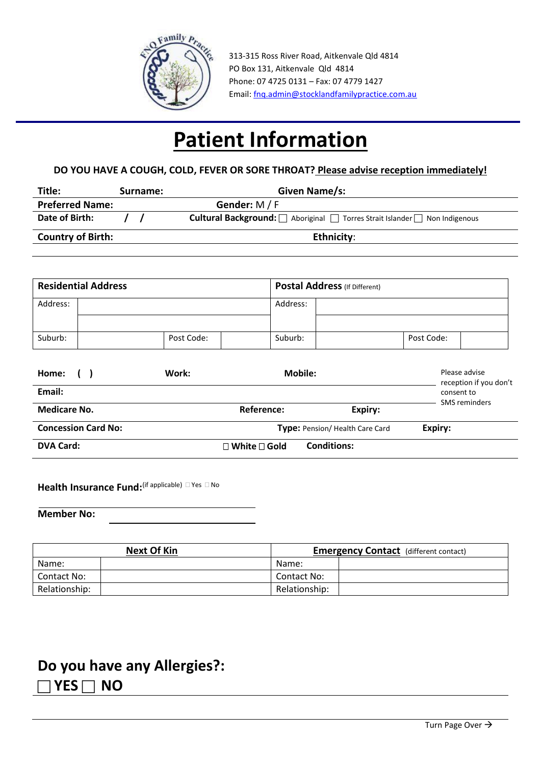

 313-315 Ross River Road, Aitkenvale Qld 4814 PO Box 131, Aitkenvale Qld 4814 Phone: 07 4725 0131 – Fax: 07 4779 1427 Email: [fnq.admin@stocklandfamilypractice.com.au](mailto:fnq.admin@stocklandfamilypractice.com.au)

# **Patient Information**

## **DO YOU HAVE A COUGH, COLD, FEVER OR SORE THROAT? Please advise reception immediately!**

| Title:                   | Surname: | Given Name/s:                                                                      |  |
|--------------------------|----------|------------------------------------------------------------------------------------|--|
| <b>Preferred Name:</b>   |          | Gender: $M/F$                                                                      |  |
| Date of Birth:           |          | <b>Cultural Background:</b>   Aboriginal   Torres Strait Islander   Non Indigenous |  |
| <b>Country of Birth:</b> |          | <b>Ethnicity:</b>                                                                  |  |

| <b>Residential Address</b> |  |            | <b>Postal Address</b> (If Different) |            |  |
|----------------------------|--|------------|--------------------------------------|------------|--|
| Address:                   |  |            | Address:                             |            |  |
| Suburb:                    |  | Post Code: | Suburb:                              | Post Code: |  |

| Home:                      | Work: | Mobile:                        |                    | Please advise<br>reception if you don't |
|----------------------------|-------|--------------------------------|--------------------|-----------------------------------------|
| Email:                     |       |                                |                    | consent to<br>SMS reminders             |
| <b>Medicare No.</b>        |       | Reference:                     | Expiry:            |                                         |
| <b>Concession Card No:</b> |       | Type: Pension/Health Care Card |                    | Expiry:                                 |
| <b>DVA Card:</b>           |       | $\Box$ White $\Box$ Gold       | <b>Conditions:</b> |                                         |

Health Insurance Fund:<sup>(if applicable) **Dives** D No</sup>

**Member No:**

| <b>Next Of Kin</b> |  | <b>Emergency Contact</b> (different contact) |  |  |
|--------------------|--|----------------------------------------------|--|--|
| Name:              |  | Name:                                        |  |  |
| Contact No:        |  | Contact No:                                  |  |  |
| Relationship:      |  | Relationship:                                |  |  |

## **Do you have any Allergies?:**   $\neg$  **YES**  $\neg$  **NO**